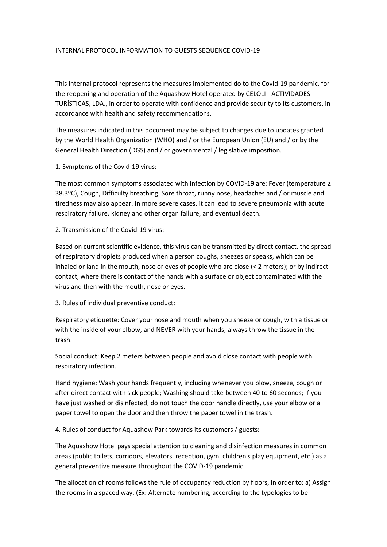## INTERNAL PROTOCOL INFORMATION TO GUESTS SEQUENCE COVID-19

This internal protocol represents the measures implemented do to the Covid-19 pandemic, for the reopening and operation of the Aquashow Hotel operated by CELOLI - ACTIVIDADES TURÍSTICAS, LDA., in order to operate with confidence and provide security to its customers, in accordance with health and safety recommendations.

The measures indicated in this document may be subject to changes due to updates granted by the World Health Organization (WHO) and / or the European Union (EU) and / or by the General Health Direction (DGS) and / or governmental / legislative imposition.

1. Symptoms of the Covid-19 virus:

The most common symptoms associated with infection by COVID-19 are: Fever (temperature ≥ 38.3ºC), Cough, Difficulty breathing. Sore throat, runny nose, headaches and / or muscle and tiredness may also appear. In more severe cases, it can lead to severe pneumonia with acute respiratory failure, kidney and other organ failure, and eventual death.

2. Transmission of the Covid-19 virus:

Based on current scientific evidence, this virus can be transmitted by direct contact, the spread of respiratory droplets produced when a person coughs, sneezes or speaks, which can be inhaled or land in the mouth, nose or eyes of people who are close (< 2 meters); or by indirect contact, where there is contact of the hands with a surface or object contaminated with the virus and then with the mouth, nose or eyes.

3. Rules of individual preventive conduct:

Respiratory etiquette: Cover your nose and mouth when you sneeze or cough, with a tissue or with the inside of your elbow, and NEVER with your hands; always throw the tissue in the trash.

Social conduct: Keep 2 meters between people and avoid close contact with people with respiratory infection.

Hand hygiene: Wash your hands frequently, including whenever you blow, sneeze, cough or after direct contact with sick people; Washing should take between 40 to 60 seconds; If you have just washed or disinfected, do not touch the door handle directly, use your elbow or a paper towel to open the door and then throw the paper towel in the trash.

4. Rules of conduct for Aquashow Park towards its customers / guests:

The Aquashow Hotel pays special attention to cleaning and disinfection measures in common areas (public toilets, corridors, elevators, reception, gym, children's play equipment, etc.) as a general preventive measure throughout the COVID-19 pandemic.

The allocation of rooms follows the rule of occupancy reduction by floors, in order to: a) Assign the rooms in a spaced way. (Ex: Alternate numbering, according to the typologies to be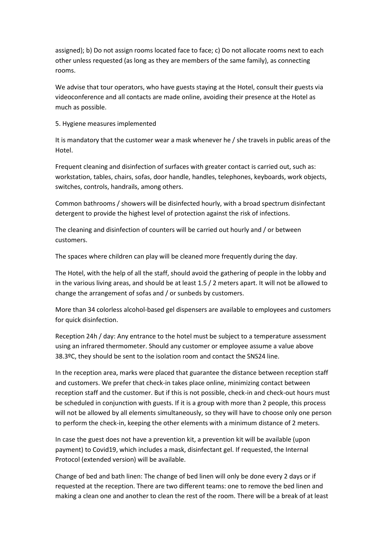assigned); b) Do not assign rooms located face to face; c) Do not allocate rooms next to each other unless requested (as long as they are members of the same family), as connecting rooms.

We advise that tour operators, who have guests staying at the Hotel, consult their guests via videoconference and all contacts are made online, avoiding their presence at the Hotel as much as possible.

## 5. Hygiene measures implemented

It is mandatory that the customer wear a mask whenever he / she travels in public areas of the Hotel.

Frequent cleaning and disinfection of surfaces with greater contact is carried out, such as: workstation, tables, chairs, sofas, door handle, handles, telephones, keyboards, work objects, switches, controls, handrails, among others.

Common bathrooms / showers will be disinfected hourly, with a broad spectrum disinfectant detergent to provide the highest level of protection against the risk of infections.

The cleaning and disinfection of counters will be carried out hourly and / or between customers.

The spaces where children can play will be cleaned more frequently during the day.

The Hotel, with the help of all the staff, should avoid the gathering of people in the lobby and in the various living areas, and should be at least 1.5 / 2 meters apart. It will not be allowed to change the arrangement of sofas and / or sunbeds by customers.

More than 34 colorless alcohol-based gel dispensers are available to employees and customers for quick disinfection.

Reception 24h / day: Any entrance to the hotel must be subject to a temperature assessment using an infrared thermometer. Should any customer or employee assume a value above 38.3ºC, they should be sent to the isolation room and contact the SNS24 line.

In the reception area, marks were placed that guarantee the distance between reception staff and customers. We prefer that check-in takes place online, minimizing contact between reception staff and the customer. But if this is not possible, check-in and check-out hours must be scheduled in conjunction with guests. If it is a group with more than 2 people, this process will not be allowed by all elements simultaneously, so they will have to choose only one person to perform the check-in, keeping the other elements with a minimum distance of 2 meters.

In case the guest does not have a prevention kit, a prevention kit will be available (upon payment) to Covid19, which includes a mask, disinfectant gel. If requested, the Internal Protocol (extended version) will be available.

Change of bed and bath linen: The change of bed linen will only be done every 2 days or if requested at the reception. There are two different teams: one to remove the bed linen and making a clean one and another to clean the rest of the room. There will be a break of at least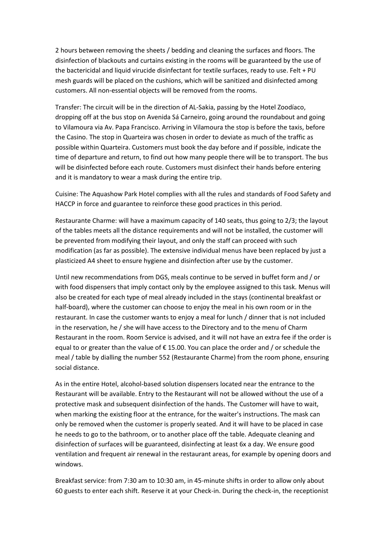2 hours between removing the sheets / bedding and cleaning the surfaces and floors. The disinfection of blackouts and curtains existing in the rooms will be guaranteed by the use of the bactericidal and liquid virucide disinfectant for textile surfaces, ready to use. Felt + PU mesh guards will be placed on the cushions, which will be sanitized and disinfected among customers. All non-essential objects will be removed from the rooms.

Transfer: The circuit will be in the direction of AL-Sakia, passing by the Hotel Zoodíaco, dropping off at the bus stop on Avenida Sá Carneiro, going around the roundabout and going to Vilamoura via Av. Papa Francisco. Arriving in Vilamoura the stop is before the taxis, before the Casino. The stop in Quarteira was chosen in order to deviate as much of the traffic as possible within Quarteira. Customers must book the day before and if possible, indicate the time of departure and return, to find out how many people there will be to transport. The bus will be disinfected before each route. Customers must disinfect their hands before entering and it is mandatory to wear a mask during the entire trip.

Cuisine: The Aquashow Park Hotel complies with all the rules and standards of Food Safety and HACCP in force and guarantee to reinforce these good practices in this period.

Restaurante Charme: will have a maximum capacity of 140 seats, thus going to 2/3; the layout of the tables meets all the distance requirements and will not be installed, the customer will be prevented from modifying their layout, and only the staff can proceed with such modification (as far as possible). The extensive individual menus have been replaced by just a plasticized A4 sheet to ensure hygiene and disinfection after use by the customer.

Until new recommendations from DGS, meals continue to be served in buffet form and / or with food dispensers that imply contact only by the employee assigned to this task. Menus will also be created for each type of meal already included in the stays (continental breakfast or half-board), where the customer can choose to enjoy the meal in his own room or in the restaurant. In case the customer wants to enjoy a meal for lunch / dinner that is not included in the reservation, he / she will have access to the Directory and to the menu of Charm Restaurant in the room. Room Service is advised, and it will not have an extra fee if the order is equal to or greater than the value of €15.00. You can place the order and / or schedule the meal / table by dialling the number 552 (Restaurante Charme) from the room phone, ensuring social distance.

As in the entire Hotel, alcohol-based solution dispensers located near the entrance to the Restaurant will be available. Entry to the Restaurant will not be allowed without the use of a protective mask and subsequent disinfection of the hands. The Customer will have to wait, when marking the existing floor at the entrance, for the waiter's instructions. The mask can only be removed when the customer is properly seated. And it will have to be placed in case he needs to go to the bathroom, or to another place off the table. Adequate cleaning and disinfection of surfaces will be guaranteed, disinfecting at least 6x a day. We ensure good ventilation and frequent air renewal in the restaurant areas, for example by opening doors and windows.

Breakfast service: from 7:30 am to 10:30 am, in 45-minute shifts in order to allow only about 60 guests to enter each shift. Reserve it at your Check-in. During the check-in, the receptionist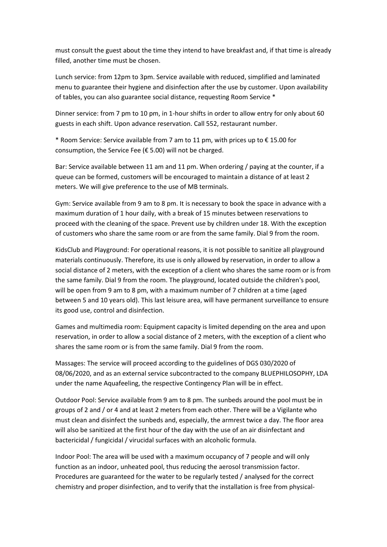must consult the guest about the time they intend to have breakfast and, if that time is already filled, another time must be chosen.

Lunch service: from 12pm to 3pm. Service available with reduced, simplified and laminated menu to guarantee their hygiene and disinfection after the use by customer. Upon availability of tables, you can also guarantee social distance, requesting Room Service \*

Dinner service: from 7 pm to 10 pm, in 1-hour shifts in order to allow entry for only about 60 guests in each shift. Upon advance reservation. Call 552, restaurant number.

\* Room Service: Service available from 7 am to 11 pm, with prices up to  $\epsilon$  15.00 for consumption, the Service Fee (€ 5.00) will not be charged.

Bar: Service available between 11 am and 11 pm. When ordering / paying at the counter, if a queue can be formed, customers will be encouraged to maintain a distance of at least 2 meters. We will give preference to the use of MB terminals.

Gym: Service available from 9 am to 8 pm. It is necessary to book the space in advance with a maximum duration of 1 hour daily, with a break of 15 minutes between reservations to proceed with the cleaning of the space. Prevent use by children under 18. With the exception of customers who share the same room or are from the same family. Dial 9 from the room.

KidsClub and Playground: For operational reasons, it is not possible to sanitize all playground materials continuously. Therefore, its use is only allowed by reservation, in order to allow a social distance of 2 meters, with the exception of a client who shares the same room or is from the same family. Dial 9 from the room. The playground, located outside the children's pool, will be open from 9 am to 8 pm, with a maximum number of 7 children at a time (aged between 5 and 10 years old). This last leisure area, will have permanent surveillance to ensure its good use, control and disinfection.

Games and multimedia room: Equipment capacity is limited depending on the area and upon reservation, in order to allow a social distance of 2 meters, with the exception of a client who shares the same room or is from the same family. Dial 9 from the room.

Massages: The service will proceed according to the guidelines of DGS 030/2020 of 08/06/2020, and as an external service subcontracted to the company BLUEPHILOSOPHY, LDA under the name Aquafeeling, the respective Contingency Plan will be in effect.

Outdoor Pool: Service available from 9 am to 8 pm. The sunbeds around the pool must be in groups of 2 and / or 4 and at least 2 meters from each other. There will be a Vigilante who must clean and disinfect the sunbeds and, especially, the armrest twice a day. The floor area will also be sanitized at the first hour of the day with the use of an air disinfectant and bactericidal / fungicidal / virucidal surfaces with an alcoholic formula.

Indoor Pool: The area will be used with a maximum occupancy of 7 people and will only function as an indoor, unheated pool, thus reducing the aerosol transmission factor. Procedures are guaranteed for the water to be regularly tested / analysed for the correct chemistry and proper disinfection, and to verify that the installation is free from physical